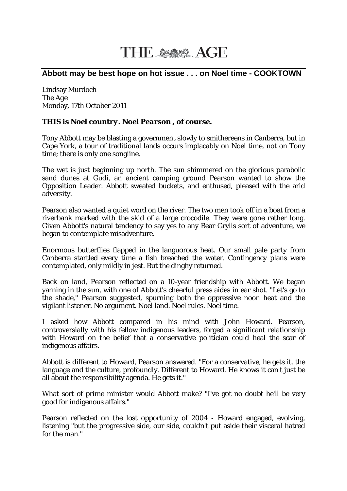## THE SSASS AGE

## **Abbott may be best hope on hot issue . . . on Noel time - COOKTOWN**

Lindsay Murdoch The *Age* Monday, 17th October 2011

## *THIS is Noel country. Noel Pearson , of course.*

Tony Abbott may be blasting a government slowly to smithereens in Canberra, but in Cape York, a tour of traditional lands occurs implacably on Noel time, not on Tony time; there is only one songline.

The wet is just beginning up north. The sun shimmered on the glorious parabolic sand dunes at Gudi, an ancient camping ground Pearson wanted to show the Opposition Leader. Abbott sweated buckets, and enthused, pleased with the arid adversity.

Pearson also wanted a quiet word on the river. The two men took off in a boat from a riverbank marked with the skid of a large crocodile. They were gone rather long. Given Abbott's natural tendency to say yes to any Bear Grylls sort of adventure, we began to contemplate misadventure.

Enormous butterflies flapped in the languorous heat. Our small pale party from Canberra startled every time a fish breached the water. Contingency plans were contemplated, only mildly in jest. But the dinghy returned.

Back on land, Pearson reflected on a 10-year friendship with Abbott. We began yarning in the sun, with one of Abbott's cheerful press aides in ear shot. "Let's go to the shade," Pearson suggested, spurning both the oppressive noon heat and the vigilant listener. No argument. Noel land. Noel rules. Noel time.

I asked how Abbott compared in his mind with John Howard. Pearson, controversially with his fellow indigenous leaders, forged a significant relationship with Howard on the belief that a conservative politician could heal the scar of indigenous affairs.

Abbott is different to Howard, Pearson answered. "For a conservative, he gets it, the language and the culture, profoundly. Different to Howard. He knows it can't just be all about the responsibility agenda. He gets it."

What sort of prime minister would Abbott make? "I've got no doubt he'll be very good for indigenous affairs."

Pearson reflected on the lost opportunity of 2004 - Howard engaged, evolving, listening "but the progressive side, our side, couldn't put aside their visceral hatred for the man."